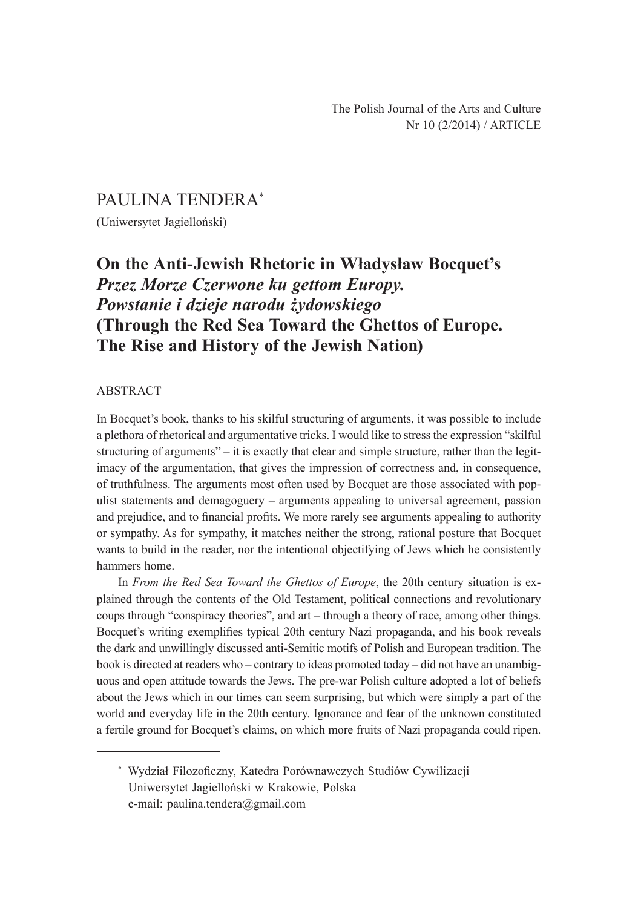## PAULINA TENDERA\*

(Uniwersytet Jagielloński)

# **On the Anti-Jewish Rhetoric in Władysław Bocquet's**  *Przez Morze Czerwone ku gettom Europy. Powstanie i dzieje narodu żydowskiego* **(Through the Red Sea Toward the Ghettos of Europe. The Rise and History of the Jewish Nation)**

#### ABSTRACT

In Bocquet's book, thanks to his skilful structuring of arguments, it was possible to include a plethora of rhetorical and argumentative tricks. I would like to stress the expression "skilful structuring of arguments" – it is exactly that clear and simple structure, rather than the legitimacy of the argumentation, that gives the impression of correctness and, in consequence, of truthfulness. The arguments most often used by Bocquet are those associated with populist statements and demagoguery – arguments appealing to universal agreement, passion and prejudice, and to financial profits. We more rarely see arguments appealing to authority or sympathy. As for sympathy, it matches neither the strong, rational posture that Bocquet wants to build in the reader, nor the intentional objectifying of Jews which he consistently hammers home.

In *From the Red Sea Toward the Ghettos of Europe*, the 20th century situation is explained through the contents of the Old Testament, political connections and revolutionary coups through "conspiracy theories", and art – through a theory of race, among other things. Bocquet's writing exemplifies typical 20th century Nazi propaganda, and his book reveals the dark and unwillingly discussed anti-Semitic motifs of Polish and European tradition. The book is directed at readers who – contrary to ideas promoted today – did not have an unambiguous and open attitude towards the Jews. The pre-war Polish culture adopted a lot of beliefs about the Jews which in our times can seem surprising, but which were simply a part of the world and everyday life in the 20th century. Ignorance and fear of the unknown constituted a fertile ground for Bocquet's claims, on which more fruits of Nazi propaganda could ripen.

<sup>\*</sup> Wydział Filozoficzny, Katedra Porównawczych Studiów Cywilizacji Uniwersytet Jagielloński w Krakowie, Polska e-mail: paulina.tendera@gmail.com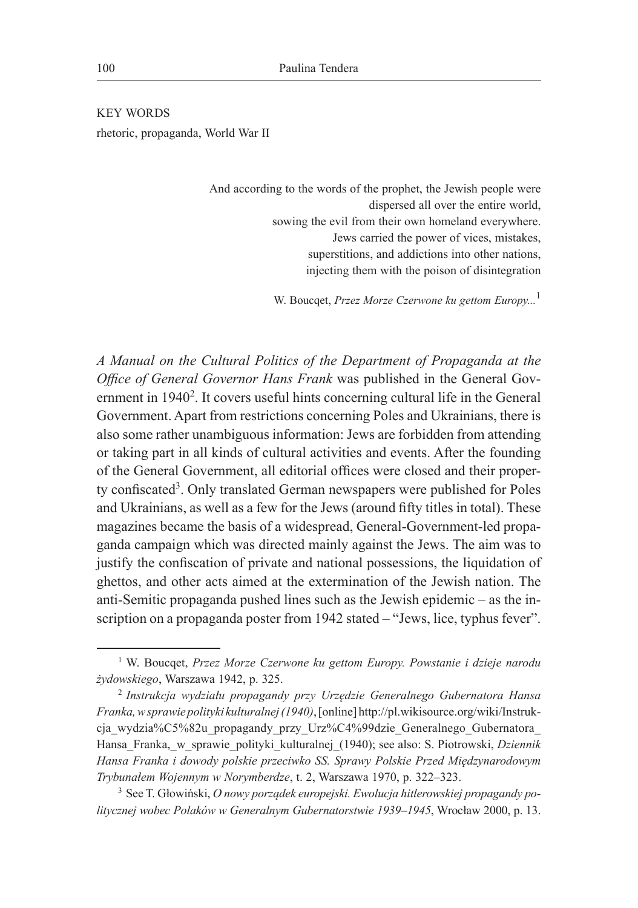KEY WORDS rhetoric, propaganda, World War II

> And according to the words of the prophet, the Jewish people were dispersed all over the entire world, sowing the evil from their own homeland everywhere. Jews carried the power of vices, mistakes, superstitions, and addictions into other nations, injecting them with the poison of disintegration

> > W. Boucqet, *Przez Morze Czerwone ku gettom Europy...*<sup>1</sup>

*A Manual on the Cultural Politics of the Department of Propaganda at the Office of General Governor Hans Frank* was published in the General Government in 1940<sup>2</sup>. It covers useful hints concerning cultural life in the General Government. Apart from restrictions concerning Poles and Ukrainians, there is also some rather unambiguous information: Jews are forbidden from attending or taking part in all kinds of cultural activities and events. After the founding of the General Government, all editorial offices were closed and their property confiscated<sup>3</sup>. Only translated German newspapers were published for Poles and Ukrainians, as well as a few for the Jews (around fifty titles in total). These magazines became the basis of a widespread, General-Government-led propaganda campaign which was directed mainly against the Jews. The aim was to justify the confiscation of private and national possessions, the liquidation of ghettos, and other acts aimed at the extermination of the Jewish nation. The anti-Semitic propaganda pushed lines such as the Jewish epidemic – as the inscription on a propaganda poster from 1942 stated – "Jews, lice, typhus fever".

<sup>1</sup> W. Boucqet, *Przez Morze Czerwone ku gettom Europy. Powstanie i dzieje narodu żydowskiego*, Warszawa 1942, p. 325.

<sup>2</sup> *Instrukcja wydziału propagandy przy Urzędzie Generalnego Gubernatora Hansa Franka, w sprawie polityki kulturalnej (1940)*, [online] http://pl.wikisource.org/wiki/Instrukcja wydzia%C5%82u propagandy przy Urz%C4%99dzie Generalnego Gubernatora Hansa\_Franka,\_w\_sprawie\_polityki\_kulturalnej\_(1940); see also: S. Piotrowski, *Dziennik Hansa Franka i dowody polskie przeciwko SS. Sprawy Polskie Przed Międzynarodowym Trybunałem Wojennym w Norymberdze*, t. 2, Warszawa 1970, p. 322–323.

<sup>3</sup> See T. Głowiński, *O nowy porządek europejski. Ewolucja hitlerowskiej propagandy politycznej wobec Polaków w Generalnym Gubernatorstwie 1939–1945*, Wrocław 2000, p. 13.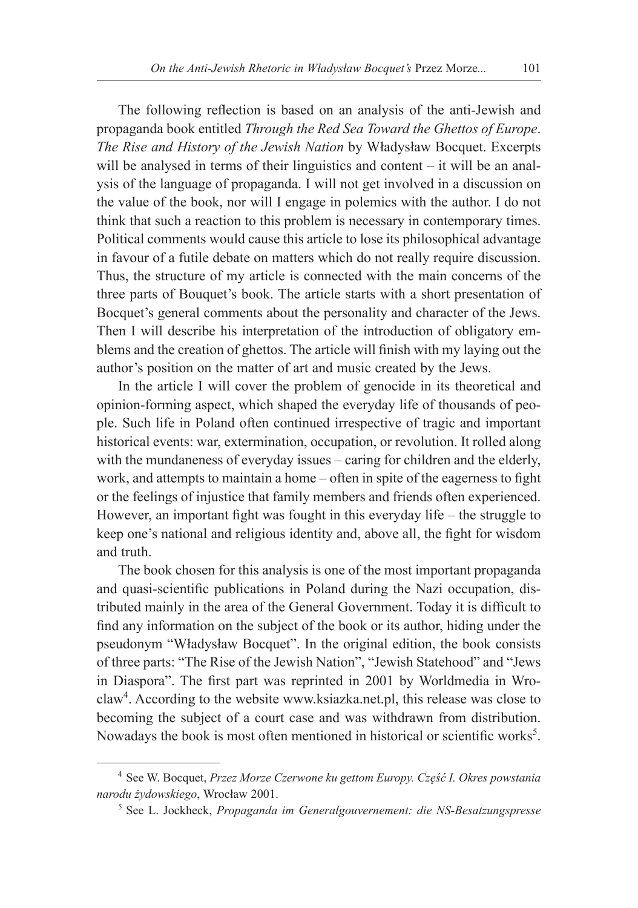The following reflection is based on an analysis of the anti-Jewish and propaganda book entitled *Through the Red Sea Toward the Ghettos of Europe*. *The Rise and History of the Jewish Nation* by Władysław Bocquet. Excerpts will be analysed in terms of their linguistics and content – it will be an analysis of the language of propaganda. I will not get involved in a discussion on the value of the book, nor will I engage in polemics with the author. I do not think that such a reaction to this problem is necessary in contemporary times. Political comments would cause this article to lose its philosophical advantage in favour of a futile debate on matters which do not really require discussion. Thus, the structure of my article is connected with the main concerns of the three parts of Bouquet's book. The article starts with a short presentation of Bocquet's general comments about the personality and character of the Jews. Then I will describe his interpretation of the introduction of obligatory emblems and the creation of ghettos. The article will finish with my laying out the author's position on the matter of art and music created by the Jews.

In the article I will cover the problem of genocide in its theoretical and opinion-forming aspect, which shaped the everyday life of thousands of people. Such life in Poland often continued irrespective of tragic and important historical events: war, extermination, occupation, or revolution. It rolled along with the mundaneness of everyday issues – caring for children and the elderly, work, and attempts to maintain a home – often in spite of the eagerness to fight or the feelings of injustice that family members and friends often experienced. However, an important fight was fought in this everyday life – the struggle to keep one's national and religious identity and, above all, the fight for wisdom and truth.

The book chosen for this analysis is one of the most important propaganda and quasi-scientific publications in Poland during the Nazi occupation, distributed mainly in the area of the General Government. Today it is difficult to find any information on the subject of the book or its author, hiding under the pseudonym "Władysław Bocquet". In the original edition, the book consists of three parts: "The Rise of the Jewish Nation", "Jewish Statehood" and "Jews in Diaspora". The first part was reprinted in 2001 by Worldmedia in Wroclaw4 . According to the website www.ksiazka.net.pl, this release was close to becoming the subject of a court case and was withdrawn from distribution. Nowadays the book is most often mentioned in historical or scientific works<sup>5</sup>.

<sup>4</sup> See W. Bocquet, *Przez Morze Czerwone ku gettom Europy. Część I. Okres powstania narodu żydowskiego*, Wrocław 2001.

<sup>5</sup> See L. Jockheck, *Propaganda im Generalgouvernement: die NS-Besatzungspresse*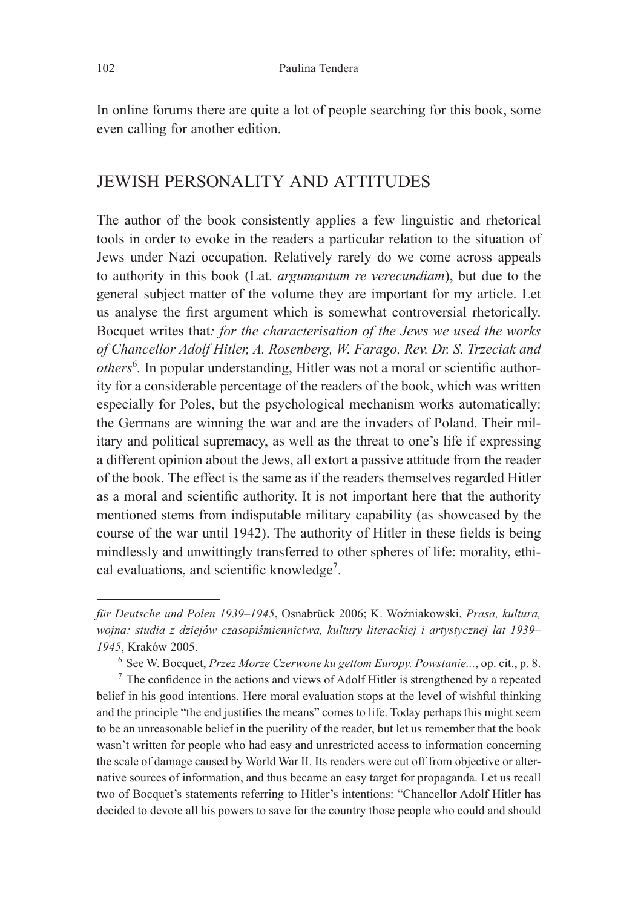In online forums there are quite a lot of people searching for this book, some even calling for another edition.

### JEWISH PERSONALITY AND ATTITUDES

The author of the book consistently applies a few linguistic and rhetorical tools in order to evoke in the readers a particular relation to the situation of Jews under Nazi occupation. Relatively rarely do we come across appeals to authority in this book (Lat. *argumantum re verecundiam*), but due to the general subject matter of the volume they are important for my article. Let us analyse the first argument which is somewhat controversial rhetorically. Bocquet writes that*: for the characterisation of the Jews we used the works of Chancellor Adolf Hitler, A. Rosenberg, W. Farago, Rev. Dr. S. Trzeciak and others*<sup>6</sup> *.* In popular understanding, Hitler was not a moral or scientific authority for a considerable percentage of the readers of the book, which was written especially for Poles, but the psychological mechanism works automatically: the Germans are winning the war and are the invaders of Poland. Their military and political supremacy, as well as the threat to one's life if expressing a different opinion about the Jews, all extort a passive attitude from the reader of the book. The effect is the same as if the readers themselves regarded Hitler as a moral and scientific authority. It is not important here that the authority mentioned stems from indisputable military capability (as showcased by the course of the war until 1942). The authority of Hitler in these fields is being mindlessly and unwittingly transferred to other spheres of life: morality, ethical evaluations, and scientific knowledge<sup>7</sup>.

*für Deutsche und Polen 1939–1945*, Osnabrück 2006; K. Woźniakowski, *Prasa, kultura, wojna: studia z dziejów czasopiśmiennictwa, kultury literackiej i artystycznej lat 1939– 1945*, Kraków 2005.

<sup>6</sup> See W. Bocquet, *Przez Morze Czerwone ku gettom Europy. Powstanie...*, op. cit., p. 8.

 $<sup>7</sup>$  The confidence in the actions and views of Adolf Hitler is strengthened by a repeated</sup> belief in his good intentions. Here moral evaluation stops at the level of wishful thinking and the principle "the end justifies the means" comes to life. Today perhaps this might seem to be an unreasonable belief in the puerility of the reader, but let us remember that the book wasn't written for people who had easy and unrestricted access to information concerning the scale of damage caused by World War II. Its readers were cut off from objective or alternative sources of information, and thus became an easy target for propaganda. Let us recall two of Bocquet's statements referring to Hitler's intentions: "Chancellor Adolf Hitler has decided to devote all his powers to save for the country those people who could and should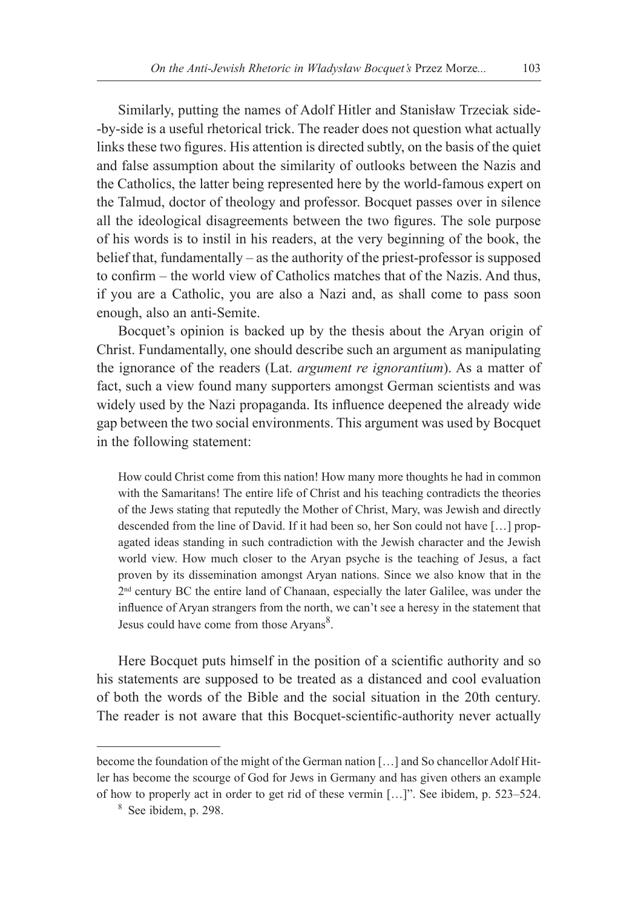Similarly, putting the names of Adolf Hitler and Stanisław Trzeciak side- -by-side is a useful rhetorical trick. The reader does not question what actually links these two figures. His attention is directed subtly, on the basis of the quiet and false assumption about the similarity of outlooks between the Nazis and the Catholics, the latter being represented here by the world-famous expert on the Talmud, doctor of theology and professor. Bocquet passes over in silence all the ideological disagreements between the two figures. The sole purpose of his words is to instil in his readers, at the very beginning of the book, the belief that, fundamentally – as the authority of the priest-professor is supposed to confirm – the world view of Catholics matches that of the Nazis. And thus, if you are a Catholic, you are also a Nazi and, as shall come to pass soon enough, also an anti-Semite.

Bocquet's opinion is backed up by the thesis about the Aryan origin of Christ. Fundamentally, one should describe such an argument as manipulating the ignorance of the readers (Lat. *argument re ignorantium*). As a matter of fact, such a view found many supporters amongst German scientists and was widely used by the Nazi propaganda. Its influence deepened the already wide gap between the two social environments. This argument was used by Bocquet in the following statement:

How could Christ come from this nation! How many more thoughts he had in common with the Samaritans! The entire life of Christ and his teaching contradicts the theories of the Jews stating that reputedly the Mother of Christ, Mary, was Jewish and directly descended from the line of David. If it had been so, her Son could not have […] propagated ideas standing in such contradiction with the Jewish character and the Jewish world view. How much closer to the Aryan psyche is the teaching of Jesus, a fact proven by its dissemination amongst Aryan nations. Since we also know that in the 2nd century BC the entire land of Chanaan, especially the later Galilee, was under the influence of Aryan strangers from the north, we can't see a heresy in the statement that Jesus could have come from those Aryans<sup>8</sup>.

Here Bocquet puts himself in the position of a scientific authority and so his statements are supposed to be treated as a distanced and cool evaluation of both the words of the Bible and the social situation in the 20th century. The reader is not aware that this Bocquet-scientific-authority never actually

become the foundation of the might of the German nation […] and So chancellor Adolf Hitler has become the scourge of God for Jews in Germany and has given others an example of how to properly act in order to get rid of these vermin […]". See ibidem, p. 523–524.

<sup>8</sup> See ibidem, p. 298.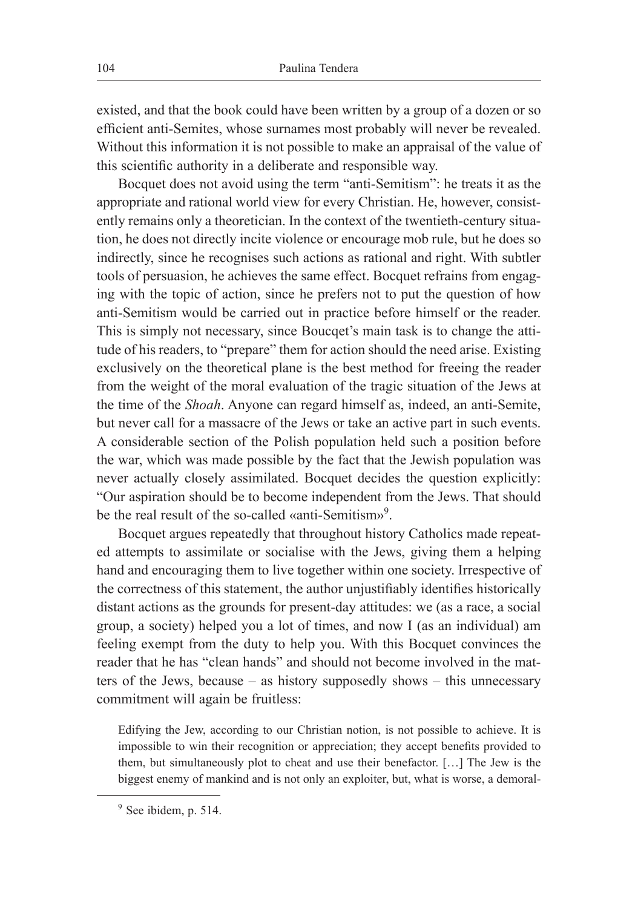existed, and that the book could have been written by a group of a dozen or so efficient anti-Semites, whose surnames most probably will never be revealed. Without this information it is not possible to make an appraisal of the value of this scientific authority in a deliberate and responsible way.

Bocquet does not avoid using the term "anti-Semitism": he treats it as the appropriate and rational world view for every Christian. He, however, consistently remains only a theoretician. In the context of the twentieth-century situation, he does not directly incite violence or encourage mob rule, but he does so indirectly, since he recognises such actions as rational and right. With subtler tools of persuasion, he achieves the same effect. Bocquet refrains from engaging with the topic of action, since he prefers not to put the question of how anti-Semitism would be carried out in practice before himself or the reader. This is simply not necessary, since Boucqet's main task is to change the attitude of his readers, to "prepare" them for action should the need arise. Existing exclusively on the theoretical plane is the best method for freeing the reader from the weight of the moral evaluation of the tragic situation of the Jews at the time of the *Shoah*. Anyone can regard himself as, indeed, an anti-Semite, but never call for a massacre of the Jews or take an active part in such events. A considerable section of the Polish population held such a position before the war, which was made possible by the fact that the Jewish population was never actually closely assimilated. Bocquet decides the question explicitly: "Our aspiration should be to become independent from the Jews. That should be the real result of the so-called «anti-Semitism»<sup>9</sup>.

Bocquet argues repeatedly that throughout history Catholics made repeated attempts to assimilate or socialise with the Jews, giving them a helping hand and encouraging them to live together within one society. Irrespective of the correctness of this statement, the author unjustifiably identifies historically distant actions as the grounds for present-day attitudes: we (as a race, a social group, a society) helped you a lot of times, and now I (as an individual) am feeling exempt from the duty to help you. With this Bocquet convinces the reader that he has "clean hands" and should not become involved in the matters of the Jews, because – as history supposedly shows – this unnecessary commitment will again be fruitless:

Edifying the Jew, according to our Christian notion, is not possible to achieve. It is impossible to win their recognition or appreciation; they accept benefits provided to them, but simultaneously plot to cheat and use their benefactor. […] The Jew is the biggest enemy of mankind and is not only an exploiter, but, what is worse, a demoral-

<sup>&</sup>lt;sup>9</sup> See ibidem, p. 514.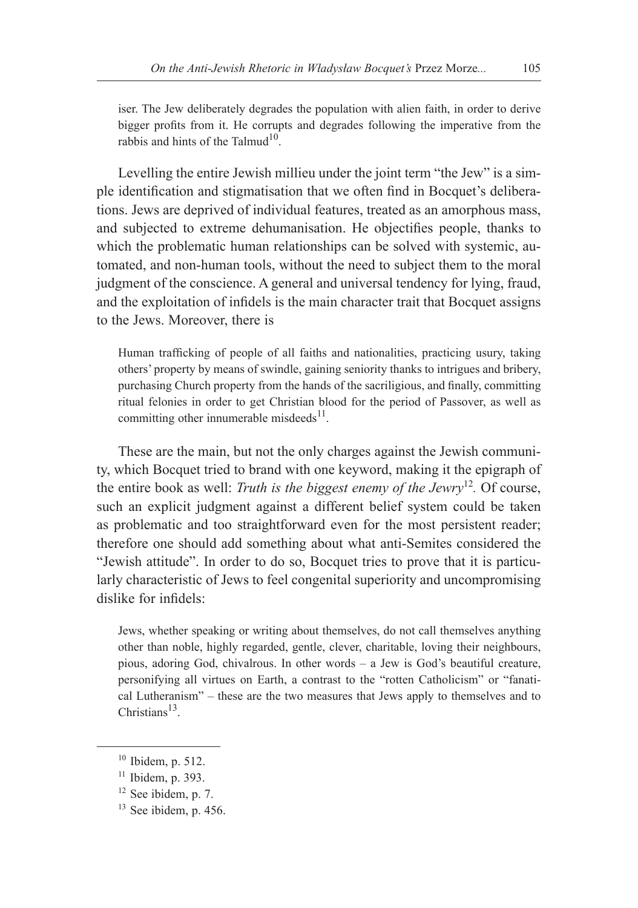iser. The Jew deliberately degrades the population with alien faith, in order to derive bigger profits from it. He corrupts and degrades following the imperative from the rabbis and hints of the Talmud $10$ .

Levelling the entire Jewish millieu under the joint term "the Jew" is a simple identification and stigmatisation that we often find in Bocquet's deliberations. Jews are deprived of individual features, treated as an amorphous mass, and subjected to extreme dehumanisation. He objectifies people, thanks to which the problematic human relationships can be solved with systemic, automated, and non-human tools, without the need to subject them to the moral judgment of the conscience. A general and universal tendency for lying, fraud, and the exploitation of infidels is the main character trait that Bocquet assigns to the Jews. Moreover, there is

Human trafficking of people of all faiths and nationalities, practicing usury, taking others' property by means of swindle, gaining seniority thanks to intrigues and bribery, purchasing Church property from the hands of the sacriligious, and finally, committing ritual felonies in order to get Christian blood for the period of Passover, as well as committing other innumerable misdeeds<sup>11</sup>.

These are the main, but not the only charges against the Jewish community, which Bocquet tried to brand with one keyword, making it the epigraph of the entire book as well: *Truth is the biggest enemy of the Jewry*<sup>12</sup>*.* Of course, such an explicit judgment against a different belief system could be taken as problematic and too straightforward even for the most persistent reader; therefore one should add something about what anti-Semites considered the "Jewish attitude". In order to do so, Bocquet tries to prove that it is particularly characteristic of Jews to feel congenital superiority and uncompromising dislike for infidels:

Jews, whether speaking or writing about themselves, do not call themselves anything other than noble, highly regarded, gentle, clever, charitable, loving their neighbours, pious, adoring God, chivalrous. In other words – a Jew is God's beautiful creature, personifying all virtues on Earth, a contrast to the "rotten Catholicism" or "fanatical Lutheranism" – these are the two measures that Jews apply to themselves and to Christians $13$ .

- <sup>12</sup> See ibidem, p. 7.
- $13$  See ibidem, p. 456.

<sup>10</sup> Ibidem, p. 512.

 $11$  Ibidem, p. 393.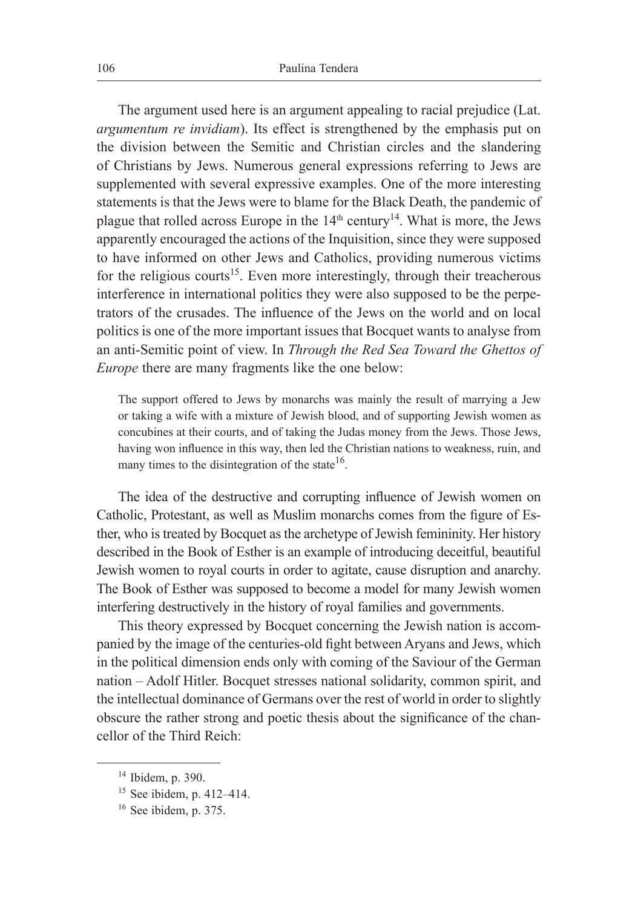The argument used here is an argument appealing to racial prejudice (Lat. *argumentum re invidiam*). Its effect is strengthened by the emphasis put on the division between the Semitic and Christian circles and the slandering of Christians by Jews. Numerous general expressions referring to Jews are supplemented with several expressive examples. One of the more interesting statements is that the Jews were to blame for the Black Death, the pandemic of plague that rolled across Europe in the  $14<sup>th</sup>$  century<sup>14</sup>. What is more, the Jews apparently encouraged the actions of the Inquisition, since they were supposed to have informed on other Jews and Catholics, providing numerous victims for the religious courts<sup>15</sup>. Even more interestingly, through their treacherous interference in international politics they were also supposed to be the perpetrators of the crusades. The influence of the Jews on the world and on local politics is one of the more important issues that Bocquet wants to analyse from an anti-Semitic point of view. In *Through the Red Sea Toward the Ghettos of Europe* there are many fragments like the one below:

The support offered to Jews by monarchs was mainly the result of marrying a Jew or taking a wife with a mixture of Jewish blood, and of supporting Jewish women as concubines at their courts, and of taking the Judas money from the Jews. Those Jews, having won influence in this way, then led the Christian nations to weakness, ruin, and many times to the disintegration of the state  $16$ .

The idea of the destructive and corrupting influence of Jewish women on Catholic, Protestant, as well as Muslim monarchs comes from the figure of Esther, who is treated by Bocquet as the archetype of Jewish femininity. Her history described in the Book of Esther is an example of introducing deceitful, beautiful Jewish women to royal courts in order to agitate, cause disruption and anarchy. The Book of Esther was supposed to become a model for many Jewish women interfering destructively in the history of royal families and governments.

This theory expressed by Bocquet concerning the Jewish nation is accompanied by the image of the centuries-old fight between Aryans and Jews, which in the political dimension ends only with coming of the Saviour of the German nation – Adolf Hitler. Bocquet stresses national solidarity, common spirit, and the intellectual dominance of Germans over the rest of world in order to slightly obscure the rather strong and poetic thesis about the significance of the chancellor of the Third Reich:

<sup>14</sup> Ibidem, p. 390.

<sup>15</sup> See ibidem, p. 412–414.

<sup>16</sup> See ibidem, p. 375.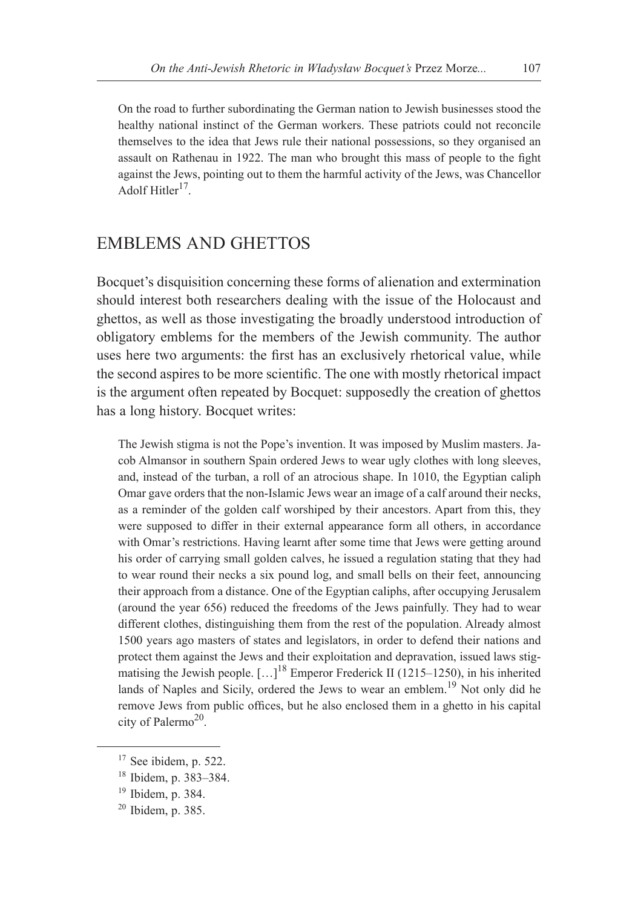On the road to further subordinating the German nation to Jewish businesses stood the healthy national instinct of the German workers. These patriots could not reconcile themselves to the idea that Jews rule their national possessions, so they organised an assault on Rathenau in 1922. The man who brought this mass of people to the fight against the Jews, pointing out to them the harmful activity of the Jews, was Chancellor Adolf Hitler<sup>17</sup>.

#### EMBLEMS AND GHETTOS

Bocquet's disquisition concerning these forms of alienation and extermination should interest both researchers dealing with the issue of the Holocaust and ghettos, as well as those investigating the broadly understood introduction of obligatory emblems for the members of the Jewish community. The author uses here two arguments: the first has an exclusively rhetorical value, while the second aspires to be more scientific. The one with mostly rhetorical impact is the argument often repeated by Bocquet: supposedly the creation of ghettos has a long history. Bocquet writes:

The Jewish stigma is not the Pope's invention. It was imposed by Muslim masters. Jacob Almansor in southern Spain ordered Jews to wear ugly clothes with long sleeves, and, instead of the turban, a roll of an atrocious shape. In 1010, the Egyptian caliph Omar gave orders that the non-Islamic Jews wear an image of a calf around their necks, as a reminder of the golden calf worshiped by their ancestors. Apart from this, they were supposed to differ in their external appearance form all others, in accordance with Omar's restrictions. Having learnt after some time that Jews were getting around his order of carrying small golden calves, he issued a regulation stating that they had to wear round their necks a six pound log, and small bells on their feet, announcing their approach from a distance. One of the Egyptian caliphs, after occupying Jerusalem (around the year 656) reduced the freedoms of the Jews painfully. They had to wear different clothes, distinguishing them from the rest of the population. Already almost 1500 years ago masters of states and legislators, in order to defend their nations and protect them against the Jews and their exploitation and depravation, issued laws stigmatising the Jewish people.  $\left[ \dots \right]^{18}$  Emperor Frederick II (1215–1250), in his inherited lands of Naples and Sicily, ordered the Jews to wear an emblem.<sup>19</sup> Not only did he remove Jews from public offices, but he also enclosed them in a ghetto in his capital city of Palermo<sup>20</sup>.

<sup>&</sup>lt;sup>17</sup> See ibidem, p. 522.

<sup>18</sup> Ibidem, p. 383–384.

<sup>19</sup> Ibidem, p. 384.

<sup>20</sup> Ibidem, p. 385.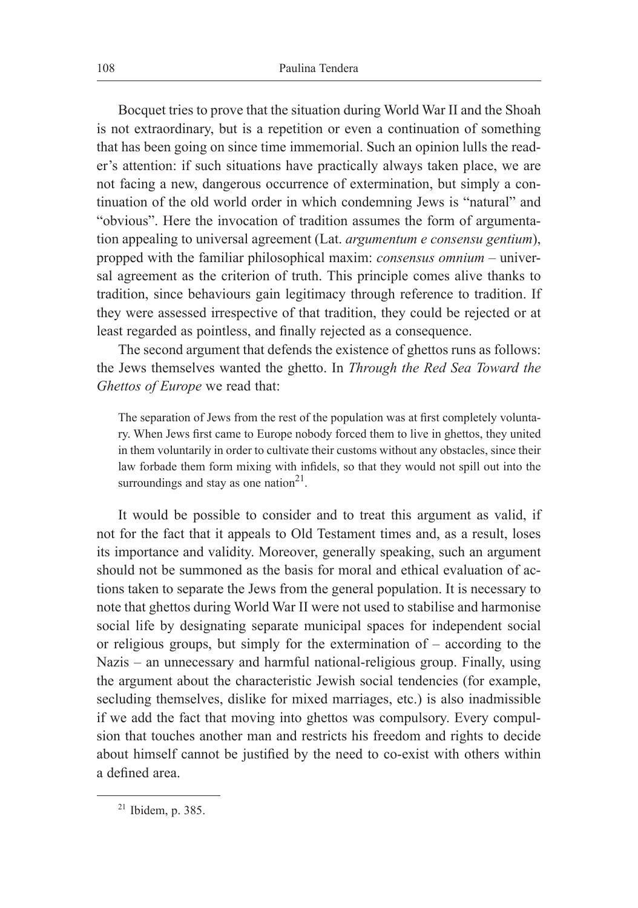Bocquet tries to prove that the situation during World War II and the Shoah is not extraordinary, but is a repetition or even a continuation of something that has been going on since time immemorial. Such an opinion lulls the reader's attention: if such situations have practically always taken place, we are not facing a new, dangerous occurrence of extermination, but simply a continuation of the old world order in which condemning Jews is "natural" and "obvious". Here the invocation of tradition assumes the form of argumentation appealing to universal agreement (Lat. *argumentum e consensu gentium*), propped with the familiar philosophical maxim: *consensus omnium* – universal agreement as the criterion of truth. This principle comes alive thanks to tradition, since behaviours gain legitimacy through reference to tradition. If they were assessed irrespective of that tradition, they could be rejected or at least regarded as pointless, and finally rejected as a consequence.

The second argument that defends the existence of ghettos runs as follows: the Jews themselves wanted the ghetto. In *Through the Red Sea Toward the Ghettos of Europe* we read that:

The separation of Jews from the rest of the population was at first completely voluntary. When Jews first came to Europe nobody forced them to live in ghettos, they united in them voluntarily in order to cultivate their customs without any obstacles, since their law forbade them form mixing with infidels, so that they would not spill out into the surroundings and stay as one nation $2<sup>1</sup>$ .

It would be possible to consider and to treat this argument as valid, if not for the fact that it appeals to Old Testament times and, as a result, loses its importance and validity. Moreover, generally speaking, such an argument should not be summoned as the basis for moral and ethical evaluation of actions taken to separate the Jews from the general population. It is necessary to note that ghettos during World War II were not used to stabilise and harmonise social life by designating separate municipal spaces for independent social or religious groups, but simply for the extermination of – according to the Nazis – an unnecessary and harmful national-religious group. Finally, using the argument about the characteristic Jewish social tendencies (for example, secluding themselves, dislike for mixed marriages, etc.) is also inadmissible if we add the fact that moving into ghettos was compulsory. Every compulsion that touches another man and restricts his freedom and rights to decide about himself cannot be justified by the need to co-exist with others within a defined area.

 $21$  Ibidem, p. 385.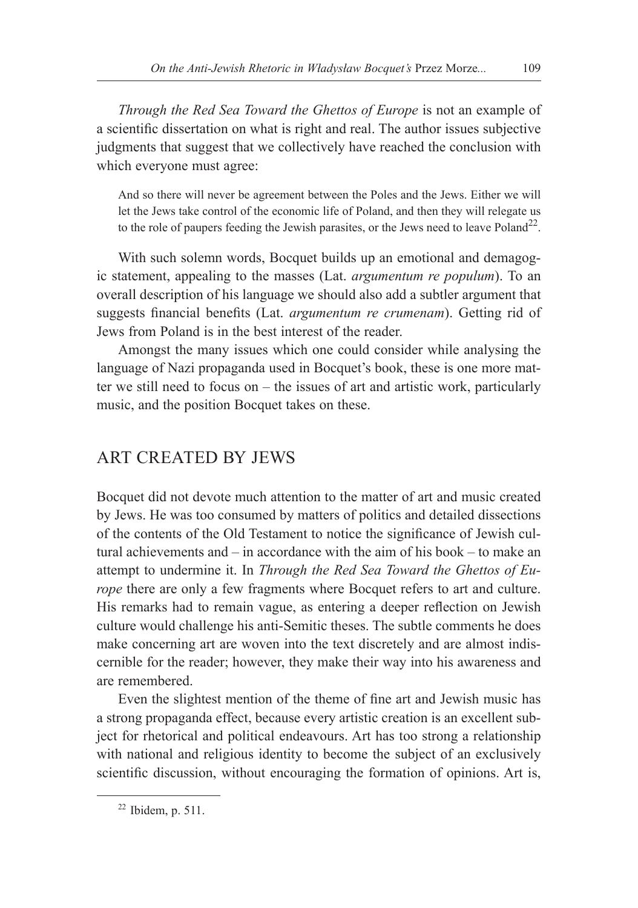*Through the Red Sea Toward the Ghettos of Europe* is not an example of a scientific dissertation on what is right and real. The author issues subjective judgments that suggest that we collectively have reached the conclusion with which everyone must agree:

And so there will never be agreement between the Poles and the Jews. Either we will let the Jews take control of the economic life of Poland, and then they will relegate us to the role of paupers feeding the Jewish parasites, or the Jews need to leave Poland<sup>22</sup>.

With such solemn words, Bocquet builds up an emotional and demagogic statement, appealing to the masses (Lat. *argumentum re populum*). To an overall description of his language we should also add a subtler argument that suggests financial benefits (Lat. *argumentum re crumenam*). Getting rid of Jews from Poland is in the best interest of the reader.

Amongst the many issues which one could consider while analysing the language of Nazi propaganda used in Bocquet's book, these is one more matter we still need to focus on – the issues of art and artistic work, particularly music, and the position Bocquet takes on these.

#### ART CREATED BY JEWS

Bocquet did not devote much attention to the matter of art and music created by Jews. He was too consumed by matters of politics and detailed dissections of the contents of the Old Testament to notice the significance of Jewish cultural achievements and – in accordance with the aim of his book – to make an attempt to undermine it. In *Through the Red Sea Toward the Ghettos of Europe* there are only a few fragments where Bocquet refers to art and culture. His remarks had to remain vague, as entering a deeper reflection on Jewish culture would challenge his anti-Semitic theses. The subtle comments he does make concerning art are woven into the text discretely and are almost indiscernible for the reader; however, they make their way into his awareness and are remembered.

Even the slightest mention of the theme of fine art and Jewish music has a strong propaganda effect, because every artistic creation is an excellent subject for rhetorical and political endeavours. Art has too strong a relationship with national and religious identity to become the subject of an exclusively scientific discussion, without encouraging the formation of opinions. Art is,

 $22$  Ibidem, p. 511.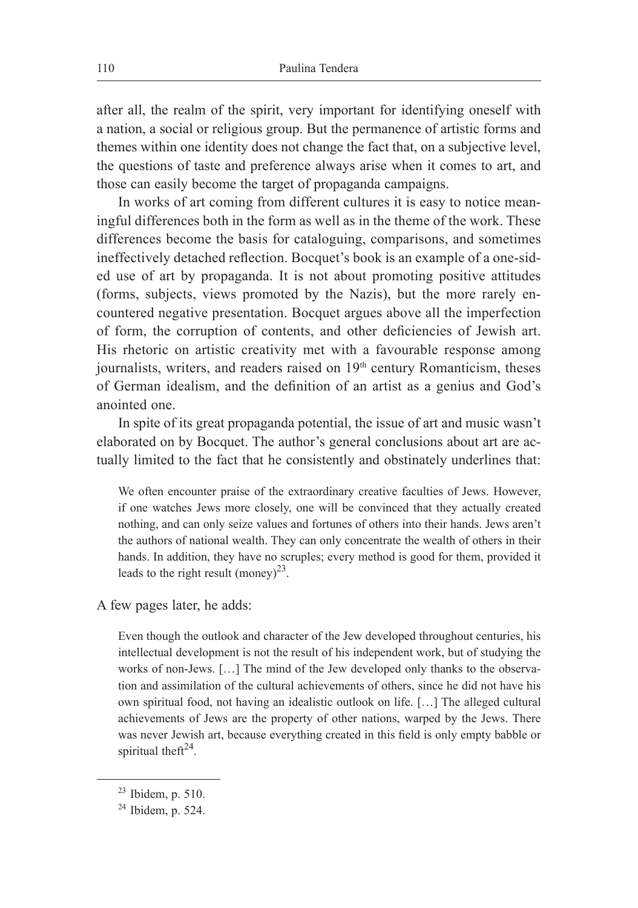after all, the realm of the spirit, very important for identifying oneself with a nation, a social or religious group. But the permanence of artistic forms and themes within one identity does not change the fact that, on a subjective level, the questions of taste and preference always arise when it comes to art, and those can easily become the target of propaganda campaigns.

In works of art coming from different cultures it is easy to notice meaningful differences both in the form as well as in the theme of the work. These differences become the basis for cataloguing, comparisons, and sometimes ineffectively detached reflection. Bocquet's book is an example of a one-sided use of art by propaganda. It is not about promoting positive attitudes (forms, subjects, views promoted by the Nazis), but the more rarely encountered negative presentation. Bocquet argues above all the imperfection of form, the corruption of contents, and other deficiencies of Jewish art. His rhetoric on artistic creativity met with a favourable response among journalists, writers, and readers raised on  $19<sup>th</sup>$  century Romanticism, theses of German idealism, and the definition of an artist as a genius and God's anointed one.

In spite of its great propaganda potential, the issue of art and music wasn't elaborated on by Bocquet. The author's general conclusions about art are actually limited to the fact that he consistently and obstinately underlines that:

We often encounter praise of the extraordinary creative faculties of Jews. However, if one watches Jews more closely, one will be convinced that they actually created nothing, and can only seize values and fortunes of others into their hands. Jews aren't the authors of national wealth. They can only concentrate the wealth of others in their hands. In addition, they have no scruples; every method is good for them, provided it leads to the right result (money)<sup>23</sup>.

A few pages later, he adds:

Even though the outlook and character of the Jew developed throughout centuries, his intellectual development is not the result of his independent work, but of studying the works of non-Jews. […] The mind of the Jew developed only thanks to the observation and assimilation of the cultural achievements of others, since he did not have his own spiritual food, not having an idealistic outlook on life. […] The alleged cultural achievements of Jews are the property of other nations, warped by the Jews. There was never Jewish art, because everything created in this field is only empty babble or spiritual the $ft^{24}$ .

<sup>23</sup> Ibidem, p. 510.

 $24$  Ibidem, p. 524.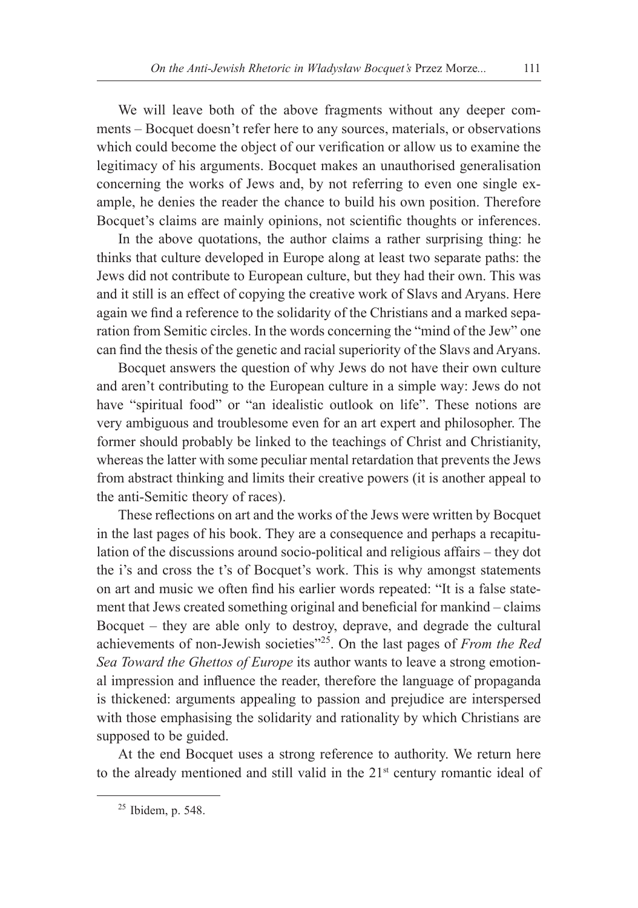We will leave both of the above fragments without any deeper comments – Bocquet doesn't refer here to any sources, materials, or observations which could become the object of our verification or allow us to examine the legitimacy of his arguments. Bocquet makes an unauthorised generalisation concerning the works of Jews and, by not referring to even one single example, he denies the reader the chance to build his own position. Therefore Bocquet's claims are mainly opinions, not scientific thoughts or inferences.

In the above quotations, the author claims a rather surprising thing: he thinks that culture developed in Europe along at least two separate paths: the Jews did not contribute to European culture, but they had their own. This was and it still is an effect of copying the creative work of Slavs and Aryans. Here again we find a reference to the solidarity of the Christians and a marked separation from Semitic circles. In the words concerning the "mind of the Jew" one can find the thesis of the genetic and racial superiority of the Slavs and Aryans.

Bocquet answers the question of why Jews do not have their own culture and aren't contributing to the European culture in a simple way: Jews do not have "spiritual food" or "an idealistic outlook on life". These notions are very ambiguous and troublesome even for an art expert and philosopher. The former should probably be linked to the teachings of Christ and Christianity, whereas the latter with some peculiar mental retardation that prevents the Jews from abstract thinking and limits their creative powers (it is another appeal to the anti-Semitic theory of races).

These reflections on art and the works of the Jews were written by Bocquet in the last pages of his book. They are a consequence and perhaps a recapitulation of the discussions around socio-political and religious affairs – they dot the i's and cross the t's of Bocquet's work. This is why amongst statements on art and music we often find his earlier words repeated: "It is a false statement that Jews created something original and beneficial for mankind – claims Bocquet – they are able only to destroy, deprave, and degrade the cultural achievements of non-Jewish societies"25. On the last pages of *From the Red Sea Toward the Ghettos of Europe* its author wants to leave a strong emotional impression and influence the reader, therefore the language of propaganda is thickened: arguments appealing to passion and prejudice are interspersed with those emphasising the solidarity and rationality by which Christians are supposed to be guided.

At the end Bocquet uses a strong reference to authority. We return here to the already mentioned and still valid in the  $21<sup>st</sup>$  century romantic ideal of

<sup>25</sup> Ibidem, p. 548.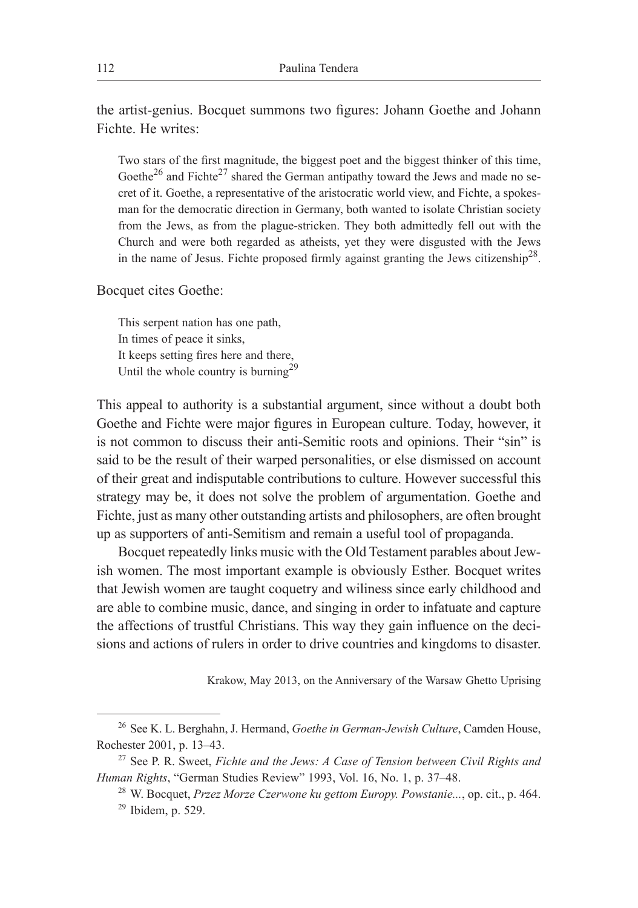the artist-genius. Bocquet summons two figures: Johann Goethe and Johann Fichte. He writes:

Two stars of the first magnitude, the biggest poet and the biggest thinker of this time, Goethe<sup>26</sup> and Fichte<sup>27</sup> shared the German antipathy toward the Jews and made no secret of it. Goethe, a representative of the aristocratic world view, and Fichte, a spokesman for the democratic direction in Germany, both wanted to isolate Christian society from the Jews, as from the plague-stricken. They both admittedly fell out with the Church and were both regarded as atheists, yet they were disgusted with the Jews in the name of Jesus. Fichte proposed firmly against granting the Jews citizenship<sup>28</sup>.

Bocquet cites Goethe:

This serpent nation has one path, In times of peace it sinks, It keeps setting fires here and there, Until the whole country is burning<sup>29</sup>

This appeal to authority is a substantial argument, since without a doubt both Goethe and Fichte were major figures in European culture. Today, however, it is not common to discuss their anti-Semitic roots and opinions. Their "sin" is said to be the result of their warped personalities, or else dismissed on account of their great and indisputable contributions to culture. However successful this strategy may be, it does not solve the problem of argumentation. Goethe and Fichte, just as many other outstanding artists and philosophers, are often brought up as supporters of anti-Semitism and remain a useful tool of propaganda.

Bocquet repeatedly links music with the Old Testament parables about Jewish women. The most important example is obviously Esther. Bocquet writes that Jewish women are taught coquetry and wiliness since early childhood and are able to combine music, dance, and singing in order to infatuate and capture the affections of trustful Christians. This way they gain influence on the decisions and actions of rulers in order to drive countries and kingdoms to disaster.

Krakow, May 2013, on the Anniversary of the Warsaw Ghetto Uprising

<sup>26</sup> See K. L. Berghahn, J. Hermand, *Goethe in German-Jewish Culture*, Camden House, Rochester 2001, p. 13–43.

<sup>27</sup> See P. R. Sweet, *Fichte and the Jews: A Case of Tension between Civil Rights and Human Rights*, "German Studies Review" 1993, Vol. 16, No. 1, p. 37–48.

<sup>28</sup> W. Bocquet, *Przez Morze Czerwone ku gettom Europy. Powstanie...*, op. cit., p. 464.  $29$  Ibidem, p. 529.